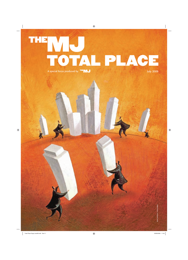### HĘ NO. Procial focus produced by THE **MU** A special focus produced by THEMJ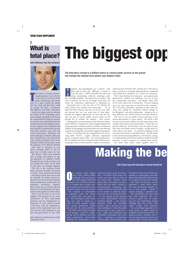### TOTAL PLACE SUPPLEMENT

### 2 **What is total place? The biggest opp**

John Atkinson has the answers



otal Place is framed around a<br>simple question; 'can we do bet-<br>ter for less?' If we focus all the<br>public involvement and invest-<br>ment in a place around the people otal Place is framed around a simple question; 'can we do better for less?' If we focus all the public involvement and investwho live, work and play there, could we provide for them a fundamentally different and better experience? And by so doing could we alleviate the impact of the impending reductions in public spending? In the face of the unprecedented financial pressure we now face, the Leadership Centre for Local Government has designed a process that supports local authorities and their partners to transform the way they work with residents, each other and central government. Politicians and senior managers in thirteen pilot areas have volunteered to take forward the work, joining colleagues from across Whitehall, health and the police under the guidance of Sir Michael Bichard. Each pilot is choosing its own theme, through which it will explore how to deliver more for less.

The themes reflect local priorities such as drugs and alcohol, an ageing population or children's health. Through the eyes of the customer, the two strands that make up the DNA of total place are brought together.

The first is the counting strand, which examines all public investment in a place – local, regional and national – and follows where that money ends up. Secondly, the culture element explores how we can work better together beyond institutional, professional and geographic boundaries. Together, these strands aim to identify potential efficiencies and help people and organisations work together to achieve them.

Now is not the time to sit on the sidelines. This project has the active involvement of three government ministers and the wholehearted endorsement of local political leaders at the LGA, with the combined resources of the Leadership Centre, the LGA and the IDeA deployed to support local government in this work.

John Atkinson is chief executive of the Leadership Centre

The total place concept is a brilliant chance to connect public services on the ground and reshape the national-local system says Stephen Taylor

appiness, the psychologists say, is elusive: seek<br>direct and you don't get. Efficiency, I submit, is<br>much the same. It flows naturally from open and<br>strong relationships, collective stretching ambi-<br>tion and high standards appiness, the psychologists say, is elusive: seek direct and you don't get. Efficiency, I submit, is much the same. It flows naturally from open and strong relationships, collective stretching ambionce it becomes 'the way we do things round here' the search for continuous improvement is hardwired in.

Fortunately this is also the view of Sir Michael Bichard, head of the Institute for Government . Let us hope that HM Treasury and CLG are of the same opinion because they are very much part of 'total place', perhaps the biggest opportunity we have had for decades not just to connect public services better on the ground but to reshape the national - local system.

Following the recommendations of Sir Michael's Operational Efficiency Programme, April's Budget funded work in thirteen places to build on pilots in Cumbria, Norfolk and Suffolk. Encouragingly, many other places are now showing initiative by starting their own locally-supported equivalent.

There's no denying that the managerialist way of running public services - targets, indicators, ring-fenced grants, inspection and the like - has raised performance. But it's equally clear that a resprayed version of the same is not going to take us to the next level. Sadly, as Paul Martin, chief executive of Sutton LBC, pointed out in The MJ (21 May) 'centralism is so deeply ingrained that we celebrated 198 performance indicators as a victory for autonomy.'

We've been looking the wrong way: up to government departments, funders and regulators, not out to people, communities and places. Jack Welch, when CEO of GE, had a blunt way of saying this: 'If you're looking up at me, you've got your ass pointed at the customer.' The CLG select committee, reporting in May, takes the same view, calling for 'wholesale cultural change' in the Whitehall - town hall relationship. Indeed so do, in their different ways, David Cameron and John Denham.

The way we run our public services continues to imprison good people in a poor system. The result is that services cost too much, deliver too little and connect inadequately with citizens and communities. At best they are grossly inefficient. At worst they crush the spirit of many who came into public service through a simple desire to make others' lives better. It would be satisfying to find out whose fault all this is and blame them. But the reality is that national and local politicians, civil servants, managers, professionals and front line staff are equally frustrated prisoners: a classic symptom of a dysfunctional system. We know three prizes travel together when lo-

### **Making the be**

#### John Tizard says the total place concept should be

The medium sized English<br>town centre. Sixteen public<br>buildings! This was the posi-<br>tion in Bromsgrove which led<br>Bromsgrove DC and Worcestershire town centre. Sixteen public buildings! This was the position in Bromsgrove which led CC to consider how to better manage the public estate in both the town and more widely across the county. The situation in Bromsgrove is replicated across the county – in small towns and major cities. The Bromsgrove public buildings were used or owned by a range of public agencies including central government bodies and not only by local authorities. The public estate is often no longer  $fit$  for purpose – built for a differ-

ent age and for different uses from today's requirements. Many public buildings are fundamental to civic

ne medium sized English pride and create a sense of community – one thinks of the major civic centres and town halls in many of our major cities. However, much public office and related accommodation does not fulfil a cultural or environmentally enhancing role. Indeed it does not necessarily need to be located in relatively expensive retail areas of towns and cities. IT has opened up the potential to locate administrative functions anywhere globally – and certainly anywhere within the immediate locality. This is not the case with those buildings to which the public has the right to and a need for access. Many local authorities have established information and access hubs – sometimes in partnership

with the police, NHS and other pub-

lic partners. Some have located such facilities in supermarkets and other places where the public chooses to go on a regular basis for other reasons.

The Audit Commission recently published a report which identifies local government property assets of over  $f_2$ 50bn -  $f_1$ 50bn if council housing is separated out. The commission has also found

that local authorities have continued to spend more on acquiring new and refurbishing existing buildings than they receive from capital receipts from disposals.

The 2009 Budget signalled a very steep decline in public capital expenditure over the next few years. Yet property market conditions will reduce the opportunity for and value of capital receipts. However, there is still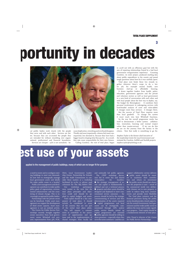# **portunity in decades**



cal public bodies work closely with the people they serve and with each other. Services are better, because they are co-created the people they are intended for without stumbling over organisational, professional and financial boundaries. Services are cheaper - 25% is not unrealistic - because duplication, reworking and overhead disappear. Thirdly and most importantly, citizens feel more consequential, less dictated to, because they have had a bigger hand in shaping what they pay for. As a result, they take more responsibility for their own futures. 'Calling Cumbria', the root of total place, began in 2008 not with an efficiency goal but with the aim of repairing relationships frayed by a bad local government reorganisation experience. 'Counting Cumbria', its sister project, produced startling data about public expenditure in the county and posed tough questions about how far it was usefully spent.

Total place now binds these two strands together wherever there's scope to do a better job, for example mental health, new<br>business start-up or affordable housing. start-up or affordable housing. It draws together leaders from health, police, education, government agencies and the private and voluntary sectors as well as local government in a new kind of conversation with each other and with local people about the best way to deploy, say, 'the budget for Birmingham'. It combines their personal involvement in redesigning services with hard-headed analysis of costs and value-added. It changes more than services: it changes them. But the success of Total Place requires more than local goodwill. To change the system it must reach into how Whitehall functions. So the way the overall programme works has

itself to demonstrate a better system: collaboration, innovation, learning and mutual respect rather than master-servant. If we can do this we are on the journey from the factory to the citizen. Now that really is something to go for.

Stephen Taylor is the former chief executive of the Leadership Centre for Local Government and initiated the Cumbria, Suffolk and Norfolk projects. stephen.taylor@taylorhaig.co.uk

### **est use of your assets**

applied to the management of public buildings, many of which are no longer fit for purpose

a need to renew and re-configure existing buildings to meet new demands. So how best to strategically manage local government assets and ideally the wider public estate in a locality?

Public asset management and development can contribute to wider public policy goals of regeneration; environmental enhancement; and the countering of climate change. This is increasingly recognised by public bodies.

Partnerships with the private sector can be beneficial. Public asset management can support the development of third sector capacity. Asset management is not an isolated activity.

The Centre for Public Service Partnerships recently brought together senior executives from local government; senior Whitehall civil servants; representatives from 4Ps, PUK,

IDeA, Local Government Leadership Centre, Partnership for Schools and the Audit Commission to consider these matters at a workshop facilitated by ex-No 10 adviser (and

columnist for The MJ) Robert Hill.<br>Our workshop participants participants were united in the view that the total place principles and objectives could and should be applied to capital budgets and assets.

Total capital should be a key component of total place. It should actively be considered in areas of the country that are not part of the initial total place pilots. This will require a commitment to contribute to the assessment of opportunities and options and to the implementation of shared strategies from locally led

and nationally led public agencies. The CPSP workshop discussion led to some key and shared views/advice for localities: ● the strategic management of assets and capital is fundamentally a political and not a technical process ● property and other assets should be designed and deployed to meet commissioned service outcomes – the process should be led by the strategic commissioning of services and then determination of the assets required ● capital programmes and local assets can be strategically commissioned through LSPs and/or public service boards; joined up capital programmes are essential ● public agencies should be willing to share premises – especially when they serve the same customers – and this can

support collaborative service delivery ● public assets should be sweated to maximise their contribution and return on investment ● the public sector should not always own the properties it uses – much of the commercial world very deliberately chooses not to own property in order to reduce long term commitments and provide more flexibility

The Total place initiative and the financial pressures facing the public sector should provide a timely opportunity for central Government, local government and the wider public sector to address the issue and to make significant progress. Total capital should be a fundamental element of total place.

John Tizard is director of the Centre for Public Service Partnerships

3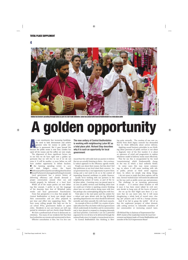

Indian tea farmers parading through Luton as part of a fair trade initiative. Luton has joined with Central Bedfordshire in a total place pilot

# **A golden opportunity**

s our constituents face increasing hardships,<br>the need to both demonstrate and achieve<br>genuine value for money in public serv-<br>ices is paramount. But it goes beyond this<br>because the public sector is now bust, Gordon has s our constituents face increasing hardships, the need to both demonstrate and achieve genuine value for money in public services is paramount. But it goes beyond this spent all the money and the coffers are now empty.

The alignment of three significant factors say to me that we do have right now a golden opportunity that we will live to rue if we do not seize it. It will be another 15 years before we will have another opportunity to debate localism. ● the looming spending review in 2011 will slash budgets across the board.  $\bullet$  both major political parties are talking about localism ● brand Parliament is damaged and licking its wounds

Local government has a proven history of delivering efficiency and should demand a proper conversation around what can and should properly be delivered at a local level. Whilst all of the major parties are now debat-

ing this concept, I prefer to use the language of the doorstep than that of Whitehall policy wonks and local government functionaries.

From that perspective it is clear that people (in Central Bedfordshire at least) care deeply about their communities and are often prepared to put time and effort into supporting them. We have many willing people that help out the local school PTAs, government bodies or sports clubs. Residents in our care homes are well supported by volunteers and our charity shops flourish. We have a profound lack of trust in democratic in-

stitutions. Too many of our residents feel that their local authorities are remote and uninterested in them.

Effective consultation is fine, but I'm less con-

The new unitary of Central Bedfordshire is working with neighbouring Luton BC as a total place pilot. Richard Stay describes why it is such an opportunity for local government

vinced that this will really lead our punters to believe that we are actually listening to them – but a seriously radical approach to the efficiency agenda would.

People care about their money, but they don't feel that politicians at any level share their concern. Local government has a real opportunity to prove them wrong and a real need to do so in the context of impending financial meltdown in public finances.

Locally we're working with our partners in the neighbouring unitary of Luton, as part of the total place pilots. Counting every tax pound spent in an area on public services and thinking about how we could use it better is sparking creative thinking about how we could achieve doing more with less, but perhaps also contemplating doing less with less.

Total place is the start point and the catalyst for a robust and open debate with the big Whitehall spending departments over what should be delivered centrally and what naturally fits with local councils.

An example of this is in DWP. As a matter of principle Jobcentre Plus sits better with local government which understands its localities and its communities and is best placed to respond to changing demands and local priorities. Conversely I can see a powerful argument for revs & bens to be delivered through the national body since it is largely a transactional service.

In Central Bedfordshire this thinking is flow-

ing quite naturally. The creation of one new authority from three legacy councils has demanded that we think differently about service delivery. Applying sound business principles to our thinking about provision of public services is not about a dogmatic view of the free market; it is about an openness of mind and pragmatism to explore whichever model of delivery works most effectively. That for me this is encapsulated by the word 'commissioning' which fundamentally changes the way in which a local authority thinks. In some cases this may mean outsourcing, in others it will mean working with other public, private or third sector organisations. In others we simply stop doing things. I do not mean to imply that these options will be easy. Several 'wicked issues' will need to be addressed on the way such as public sector pay and pensions. The challenge to an incoming government is simple - is it serious about localism or will it once it has been sweet talked by civil servants decide to hang onto all the levers of power? Are we up for this? Right now there is a vacuum that we can move into, but it will mean slaughtering a whole herd of sacred cows, clos-

ing 'pet' projects and it will be a bumpy journey. And if we fail to grasp the nettle? All of us face the unpleasant prospect of either dramatically cutting services to vulnerable members of our communities or increasing council taxes.

Cllr Richard Stay is chairman of Improvement East RIEP, trustee of the Leadership Centre for Local Government and deputy leader of Central Bedfordshire and member of the LGA Improvement Board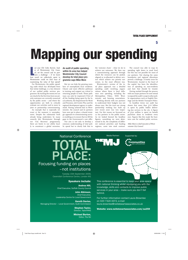5

## **Mapping our spending**

ast year Cllr Colin Barrow, leader of Westminster City Council, set the council and its partners a challenge – if we knew how much we collectively spent in ast year Cllr Colin Barrow, leader of Westminster City Council, set the council and its partners a challenge – if we knew Westminster could we find ways of maximising the value of that spend?

For Westminster, the public spending audit which has developed from that initial challenge, is a key element of our unified public services programme. By tracking the money we can see clearly for the first time how our priority outcomes are currently resourced by the public sector – and where the opportunities are both to critically evaluate our activities and to move to joint or partnership commissioning.

An example that is especially relevant at the moment is unemployment. Despite the substantial work already being undertaken by many councils (for Westminster through our 'City Recovery' programme), there are limits to our ability locally to counteract a global recession.

#### An audit of public spending within its area has helped Westminster City Council develop its total place programme says Mike More

But we can help the growing numbers of unemployed local residents. Clearer and more effective pathways to training and support are critical in returning people to work. Those pathways can only be improved if first of all the funding being spent by the local authority, the Department for Work and Pensions, Job Centre Plus and the regional development agency is understood. Having achieved that in Westminster, the council and its partners have now put in place a shared strategic approach to commissioning services enabling us to ensure that we fill the gaps in the Government's core offer.

Our aim is not only to develop a common understanding of total public spend but to clearly link that to the 'outcome chain' - what we do to achieve our outcomes. We then use a commissioning approach through which the resources can be pooled, aligned or re-allocated to deliver services which achieve our priority outcomes, in the most efficient way.

Westminster's version of the total place approach was a detailed spending audit involving organisations where there is local influence over spending, including the Metropolitan Police, NHS Westminster and housing associations.

Working directly with our partners to understand their budgets was not always easy. But the trust our strong partnership working has built up over recent years was very important. For this reason we focussed on 22 key partners in the public sector. As we looked beyond the headline figures, something we were determined to do, the complexity of different national priorities and funding regimes, came into stark contrast.

The council was able to map its spending right down to ward level but this was not possible for most of our partners. Not sharing the same boundaries and regional allocations proved a challenge. A knotty issue for Westminster, located in the heart of the capital, has been the identification of spending on non-residents and how that should be treated.

Having worked through the process with our major partners we now intend to expand the audit's scope to other public organisations such as English Heritage and the British Transport Police.

In headline terms our audit has shown that more than  $f_1$ .6 billion is spent by public bodies delivering key services in the city. A figure of  $f_{150}$  million is spent on benefit payments alone to residents every year. Figures like this made the business case for unified public services.

Mike More is chief executive of Westminster City Council

**Communities** 

### TOTAL PLACE: Focusing funding on places –not institutions National Conference Media Partner: Supported by:

Tuesday 15th September 2009, Cavendish Conference Centre, London W1

### Speakers include:

Andrea Hill, Chief Executive, Suffolk County Council

John Atkinson, Chief Executive, Leadership Centre for Local Government

Gareth Davies, Managing Director – Local Government, Audit Commission

> Stephen Taylor, Director, TaylorHAIG

> Michael Burton, Editor, The MJ



This conference is essential to keep your area apace with national thinking whilst equipping you with the knowledge, skills and contacts to improve public services in your area - make sure you don't fall behind.

For further information contact Laura Brownlee on 020 7324 4372, e-mail laura.brownlee@neilstewartassociates.co.uk

Website: www.neilstewartassociates.com/sa259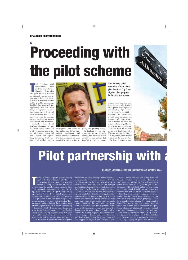# 6 **Proceeding with**  $\frac{1}{2}$ **the pilot scheme**

otal solutions, total<br>
commitment, total<br>
creativity, and total col-<br>
laboration. That's what<br>
total place means in Bradford otal solutions, total commitment, total creativity, and total collaboration. That's what as nationally service innovation moves from just public / private partnership towards public / public partnership. Bradford has embraced the opportunity that total place brings to capitalise on existing strong partnerships and local leadership which is already on route to re-shape the way public sector services are planned and distributed.

Bradford, which David Hockney illustrated as 'one landscape many views,' is a city of contrast and a district of diversity: urban and rural, wealth and deprivation, impressive built heritage and quality modern



development and some of the highest and lowest educational attainment and health outcomes in the country. Our population of more than half a million is diverse,

young and growing rapidly. In Bradford we are conscious that we are not only shaping the future of public services in our district, but hopefully will help to sustain,

Tony Reeves, chief executive of total place pilot Bradford City Council, describes progress in the past few weeks

safeguard and transform public service nationally. Bradford has a public sector spend of approximately  $f_3$ .5 billion. Big is certainly beautiful in Bradford. Our achievement of total place objectives and outcomes will make a positive difference to both the quality and cost of public sector services on a grand scale.

So what have we achieved so far as a total place pilot, following on from the CLG / HM Treasury's letter that we received at the end of May? We have recruited a total

## **Pilot partnership with**

#### Three North East councils are working together as a joint total place

he whole idea of all public services working<br>together to deliver better results for resi-<br>dents sounds like a panacea, but a new pilot<br>scheme is aiming to formalise the concept<br>of 'total place' to radically improve peoples he whole idea of all public services working together to deliver better results for residents sounds like a panacea, but a new pilot scheme is aiming to formalise the concept The national programme is currently being rolled out across 13 pilot areas bringing together the work of central government, councils and a wide range of other agencies. The principles of the idea sound simple – better services at a lower cost – but in practice drawing together and coordinating the work of so many different organisations is a major undertaking. Gateshead, South Tyneside and Sunderland

in the North East of England is one area that has already started pulling together plans that could significantly improve some of the more deprived wards and aim to save more than  $f_1$ 100m. Total place looks at a whole area approach to public

services with the aim of creating a more customer focused system that utilises resources more effectively.

In the North East the three areas will work together as one to collectively focus on safer, stronger and healthier neighbourhoods concentrating on the three most deprived areas across the geographic area.

These will be used as a test bed for understanding what needs to be done to make significant improvements on the ground – looking at what resources and services are being delivered in these areas, and what improvements can be made.

Once established the work will help reduce health inequalities and the significant differences in life expectancy between local areas. It is also designed to reduce crime and anti-social behaviour by making targeted, key interventions.

To sit alongside this the partnership team will work hard to provide help for young people and offer support to improve poor lifestyle choices.

Health inequalities are also a key issue for Gateshead, South Tyneside and Sunderland, particularly in relation to deprived neighbourhoods where there is a significant gap in performance. Although local authorities and health services are regarded highly and are strong performers, the gap in health inequality remains.

Lifestyle choices among young people are a particular issue for all three areas and there is a specific issue regarding teenage pregnancy. This is a complex issue, affected by young people's knowledge about sex and relationships, access to advice and support and is influenced by aspirations, educational attainment, parental, cultural and peer influences and emotional wellbeing. The Teenage Conception target is a key Healthcare Commission target and as such it is included in the PCT performance management arrangements. No single agency or group can deliver this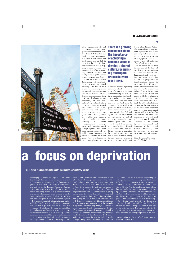7



place programme director and an executive member champion has been identified. Bradford District Partnership, our local strategic partnership, has been briefed about and is, of course, involved fully in delivering the pilot. We have commissioned a 'money mapping' exercise to increase our understanding of the relationship between centrally and locally directed public sector resources across our district.

Within the Bradford District Partnership, work has already been progressed on cultural mapping. This has led to a clearer understanding across partners about the opportunities for and barriers to transforming public sector services.

We are developing an understanding of, and commitment to, a shared future. Partners have recognised that within their different cultures and governance structures there are good and bad practices and address. This really is peer learning in action! Organisational develop-

ment and transformational change agendas have often been pursued individually by public sector organisations across the country in recent years. Now co-ordination is being strengthened by col-

### There is a growing consensus about the importance of achieving a common vision to develop a shared culture, recognising that togetherness delivers much more.

laboration. There is a growing consensus about the importance of achieving a common vision to develop a shared culture, recognising that togetherness delivers much more.

Each pilot area has been asked to use total place to consider a theme which is of particular local importance, often transformational priorities already identified and agreed, with the involvement of local people, as part of an area's sustainable community plan and LAA. In Bradford these themes are currently being debated and discussed across partners. Strong support is emerging for focussing total place on one or more of the following themes: prolific offenders, social care and health and

looked- after children. Nationally, services in these areas are multi agency and sometimes confusing rather than complementary. They also account for a large proportion of public sector spend, with outcomes often of only variable quality.

At the centre of all these themes, and at the heart of the debate, is the individual citizen and service user. Transformational public services are about supporting and enabling people to make transformational change in their own lives. Ultimately, service performance outcomes can only ever be measured in individual units, by improvement in the life chances and quality of life for local people.

Therefore, total place provides a framework for us to rethink the relationship between citizens and the state. In terms of its community leadership role, good local government can and will be a really effective fulcrum for these new relationships with informed and empowered citizens. Success will be secured

by the commitment and leadership of the Bradford District Partnership and its readiness to embrace these new ways of working.

Tony Reeves is chief executive, Bradford City Council

## **a focus on deprivation**

#### pilot with a focus on reducing health inequalities says Lindsay Kirkley

challenging Government agenda. Our objective through the total place project is to ensure and optimise a consistent and collaborative approach to the service planning, commissioning and delivery of the Teenage Pregnancy Strategy.

The total place system is made up of two elements: a counting process to map current resources and identify where money could be spent more efficiently and a culture process that looks at collaboration and how agencies could work better together.

This deep dive analysis of spending and culture will help identify barriers to delivery and ultimately work out how to get better services at a lower cost.

In a more detailed sense the group will look at how it can eliminate duplication across the target area, where services need to be more joined up and how economies of scale could be used to make savings." In this pilot area there will be a huge number of organisations involved including Gateshead, South Tyneside and Sunderland Councils, local housing companies, the PCT, Northumbria Police, the Tyne and Wear Fire Service, DWP and others from the third sector.

There is, of course, the risk that the scope of this project could be too broad. The focus on neighbourhoods and the commitment to young people aims to reduce that risk by concentrating on people – their health, lifestyle choices and quality of life in the most deprived areas.

By October 2009 the group will be expected to produce a report to Government to inform the pre-Budget report that identifies early findings and details of service transformation. By March 2010 and the time of the Budget the group will produce a report identifying a future model for service delivery, the steps needed to achieve it, the efficiencies it will deliver and most importantly the benefits for local people. Roger Kelly, chief executive at Gateshead

MBC said: 'This is a fantastic opportunity to challenge the way we do things and think creatively about public services in the 21st century".'

Irene Lucas, chief executive of South Tyneside MBC said: 'In the challenging times ahead there are o nly three things we should be focussing on better outcomes for communities, duplicating cost of services in localities or making things simpler for our staff. Total place gives us the opportunity to do that innovatively.'

Dave Smith, chief executive at Sunderland City Council said: 'This will help us identify significant efficiency savings to reinvest and target in better services. The way our pilot is designed will help deliver improved services and better outcomes for young people across the area.'

Lindsay Kirkley is Director of Policy and Improvement at Gateshead MBC